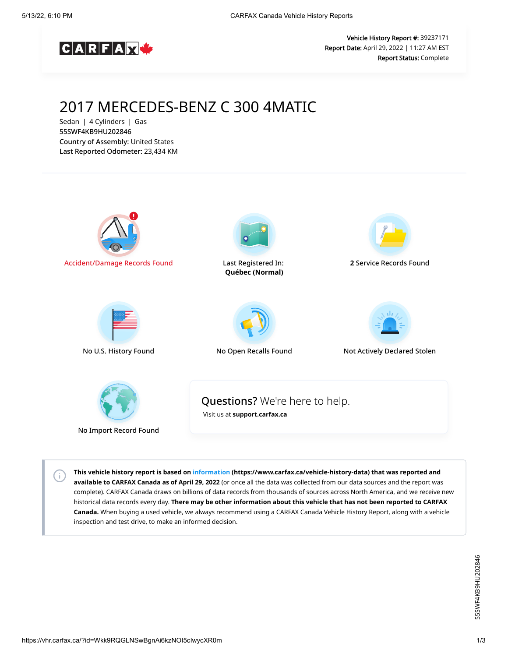

Vehicle History Report #: 39237171 Report Date: April 29, 2022 | 11:27 AM EST Report Status: Complete

# 2017 MERCEDES-BENZ C 300 4MATIC

Sedan | 4 Cylinders | Gas 55SWF4KB9HU202846 Country of Assembly: United States Last Reported Odometer: 23,434 KM



**This vehicle history report is based on [information](https://www.carfax.ca/vehicle-history-data) (https://www.carfax.ca/vehicle-history-data) that was reported and available to CARFAX Canada as of April 29, 2022** (or once all the data was collected from our data sources and the report was complete). CARFAX Canada draws on billions of data records from thousands of sources across North America, and we receive new historical data records every day. **There may be other information about this vehicle that has not been reported to CARFAX Canada.** When buying a used vehicle, we always recommend using a CARFAX Canada Vehicle History Report, along with a vehicle inspection and test drive, to make an informed decision.

 $\left( \cdot \right)$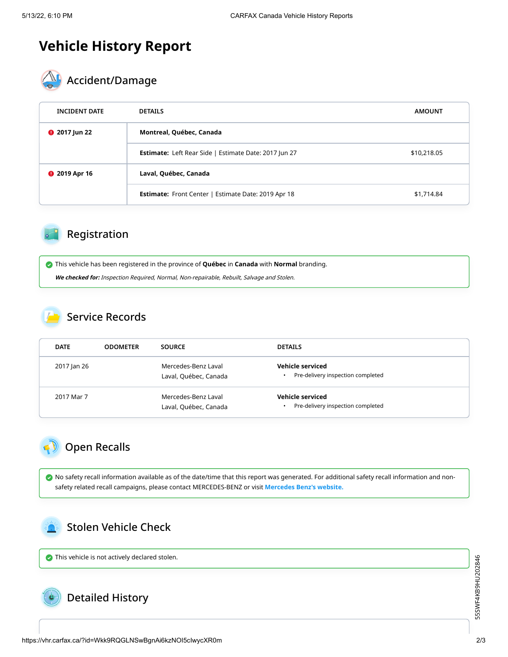# **Vehicle History Report**



| <b>INCIDENT DATE</b> | <b>DETAILS</b>                                               | <b>AMOUNT</b> |  |  |
|----------------------|--------------------------------------------------------------|---------------|--|--|
| <b>@</b> 2017 Jun 22 | Montreal, Québec, Canada                                     |               |  |  |
|                      | <b>Estimate:</b> Left Rear Side   Estimate Date: 2017 Jun 27 | \$10,218.05   |  |  |
| <b>@</b> 2019 Apr 16 | Laval, Québec, Canada                                        |               |  |  |
|                      | <b>Estimate:</b> Front Center   Estimate Date: 2019 Apr 18   | \$1,714.84    |  |  |

# Registration

 This vehicle has been registered in the province of **Québec** in **Canada** with **Normal** branding. **We checked for:** Inspection Required, Normal, Non-repairable, Rebuilt, Salvage and Stolen.

#### Service Records

| <b>DATE</b> | <b>ODOMETER</b> | <b>SOURCE</b>                                | <b>DETAILS</b>                                                     |
|-------------|-----------------|----------------------------------------------|--------------------------------------------------------------------|
| 2017 Jan 26 |                 | Mercedes-Benz Laval<br>Laval, Québec, Canada | Vehicle serviced<br>Pre-delivery inspection completed<br>$\bullet$ |
| 2017 Mar 7  |                 | Mercedes-Benz Laval<br>Laval, Québec, Canada | Vehicle serviced<br>Pre-delivery inspection completed<br>$\bullet$ |

## Open Recalls

 No safety recall information available as of the date/time that this report was generated. For additional safety recall information and nonsafety related recall campaigns, please contact MERCEDES-BENZ or visit **[Mercedes Benz's website.](https://www.mercedes-benz.ca/en/recalls)**

### Stolen Vehicle Check

 $\bullet$  This vehicle is not actively declared stolen.

### Detailed History